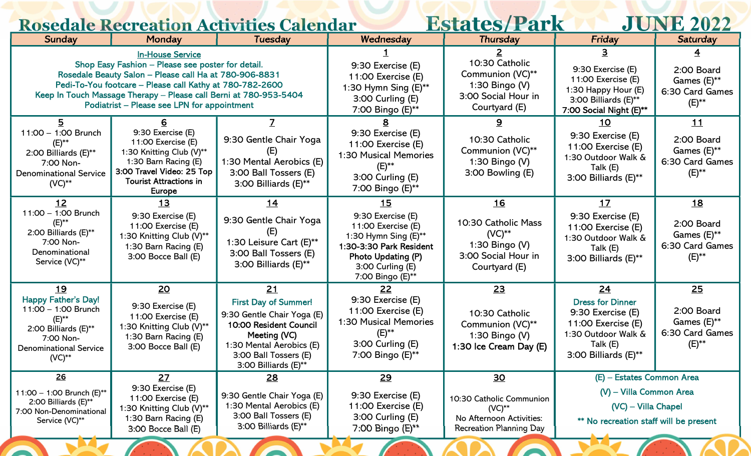| <b>Estates/Park</b><br><b>JUNE 2022</b><br><b>Rosedale Recreation Activities Calendar</b>                                                                                                                                                                                                                                     |                                                                                                                                                                            |                                                                                                                                                                                               |                                                                                                                                                                               |                                                                                                                       |                                                                                                                                            |                                                                                   |  |  |
|-------------------------------------------------------------------------------------------------------------------------------------------------------------------------------------------------------------------------------------------------------------------------------------------------------------------------------|----------------------------------------------------------------------------------------------------------------------------------------------------------------------------|-----------------------------------------------------------------------------------------------------------------------------------------------------------------------------------------------|-------------------------------------------------------------------------------------------------------------------------------------------------------------------------------|-----------------------------------------------------------------------------------------------------------------------|--------------------------------------------------------------------------------------------------------------------------------------------|-----------------------------------------------------------------------------------|--|--|
| Sunday                                                                                                                                                                                                                                                                                                                        | Monday                                                                                                                                                                     | <b>Tuesday</b>                                                                                                                                                                                | Wednesday                                                                                                                                                                     | <b>Thursday</b>                                                                                                       | Friday                                                                                                                                     | <b>Saturday</b>                                                                   |  |  |
| <b>In-House Service</b><br>Shop Easy Fashion - Please see poster for detail.<br>Rosedale Beauty Salon - Please call Ha at 780-906-8831<br>Pedi-To-You footcare - Please call Kathy at 780-782-2600<br>Keep In Touch Massage Therapy - Please call Berni at 780-953-5404<br><b>Podiatrist – Please see LPN for appointment</b> |                                                                                                                                                                            |                                                                                                                                                                                               | 9:30 Exercise (E)<br>11:00 Exercise (E)<br>1:30 Hymn Sing (E)**<br>3:00 Curling (E)<br>7:00 Bingo (E)**                                                                       | 10:30 Catholic<br>Communion (VC)**<br>1:30 Bingo $(V)$<br>3:00 Social Hour in<br>Courtyard (E)                        | 9:30 Exercise (E)<br>11:00 Exercise (E)<br>1:30 Happy Hour (E)<br>3:00 Billiards (E)**<br>7:00 Social Night (E)**                          | 2:00 Board<br>Games $(E)_{**}$<br>6:30 Card Games<br>(E)**                        |  |  |
| 11:00 - 1:00 Brunch<br>$(E)_{*}$<br>2:00 Billiards (E)**<br>7:00 Non-<br><b>Denominational Service</b><br>$(VC)**$                                                                                                                                                                                                            | 9:30 Exercise (E)<br>11:00 Exercise (E)<br>1:30 Knitting Club (V)**<br>1:30 Barn Racing (E)<br>3:00 Travel Video: 25 Top<br><b>Tourist Attractions in</b><br><b>Europe</b> | 9:30 Gentle Chair Yoga<br>1:30 Mental Aerobics (E)<br>3:00 Ball Tossers (E)<br>3:00 Billiards (E)**                                                                                           | 9:30 Exercise (E)<br>11:00 Exercise (E)<br>1:30 Musical Memories<br>$(E)$ **<br>3:00 Curling (E)<br>7:00 Bingo (E)**                                                          | 9.<br>10:30 Catholic<br>Communion (VC)**<br>1:30 Bingo (V)<br>3:00 Bowling (E)                                        | 10<br>9:30 Exercise (E)<br>11:00 Exercise (E)<br>1:30 Outdoor Walk &<br>Talk (E)<br>3:00 Billiards (E)**                                   | <u>11</u><br>2:00 Board<br>Games $(E)_{**}$<br>6:30 Card Games<br>$(E)_{*}$       |  |  |
| $12$<br>11:00 - 1:00 Brunch<br>$(E)_{**}$<br>2:00 Billiards (E)**<br>7:00 Non-<br>Denominational<br>Service (VC)**                                                                                                                                                                                                            | <u> 13</u><br>9:30 Exercise (E)<br>11:00 Exercise (E)<br>1:30 Knitting Club (V)**<br>1:30 Barn Racing (E)<br>3:00 Bocce Ball (E)                                           | <u> 14</u><br>9:30 Gentle Chair Yoga<br>(E)<br>1:30 Leisure Cart (E)**<br>3:00 Ball Tossers (E)<br>3:00 Billiards (E)**                                                                       | <u> 15</u><br>9:30 Exercise (E)<br>11:00 Exercise (E)<br>1:30 Hymn Sing $(E)$ **<br>1:30-3:30 Park Resident<br>Photo Updating (P)<br>$3:00$ Curling $(E)$<br>7:00 Bingo (E)** | <u>16</u><br>10:30 Catholic Mass<br>$(VC)^{**}$<br>1:30 Bingo $(V)$<br>3:00 Social Hour in<br>Courtyard (E)           | <u>17</u><br>9:30 Exercise (E)<br>11:00 Exercise (E)<br>1:30 Outdoor Walk &<br>Talk (E)<br>3:00 Billiards (E)**                            | 18<br>2:00 Board<br>Games (E)**<br>6:30 Card Games<br>$(E)_{*}$                   |  |  |
| 19<br><b>Happy Father's Day!</b><br>11:00 - 1:00 Brunch<br>$(E)$ **<br>2:00 Billiards (E)**<br>7:00 Non-<br><b>Denominational Service</b><br>$(VC)**$                                                                                                                                                                         | <u>20</u><br>9:30 Exercise (E)<br>11:00 Exercise (E)<br>1:30 Knitting Club (V)**<br>1:30 Barn Racing (E)<br>3:00 Bocce Ball (E)                                            | <u>21</u><br><b>First Day of Summer!</b><br>9:30 Gentle Chair Yoga (E)<br>10:00 Resident Council<br>Meeting (VC)<br>1:30 Mental Aerobics (E)<br>3:00 Ball Tossers (E)<br>3:00 Billiards (E)** | <u>22</u><br>9:30 Exercise (E)<br>11:00 Exercise (E)<br>1:30 Musical Memories<br>3:00 Curling (E)<br>7:00 Bingo (E)**                                                         | <u>23</u><br>10:30 Catholic<br>Communion (VC)**<br>1:30 Bingo (V)<br>1:30 Ice Cream Day (E)                           | <u>24</u><br><b>Dress for Dinner</b><br>9:30 Exercise (E)<br>11:00 Exercise (E)<br>1:30 Outdoor Walk &<br>Talk (E)<br>3:00 Billiards (E)** | <u>25</u><br>2:00 Board<br>Games $(E)_{\ast\ast}$<br>6:30 Card Games<br>$(E)_{*}$ |  |  |
| <u>26</u><br>11:00 - 1:00 Brunch (E)**<br>2:00 Billiards (E)**<br>7:00 Non-Denominational<br>Service (VC)**                                                                                                                                                                                                                   | 27<br>9:30 Exercise (E)<br>11:00 Exercise (E)<br>1:30 Knitting Club (V)**<br>1:30 Barn Racing (E)<br>3:00 Bocce Ball (E)                                                   | 28<br>9:30 Gentle Chair Yoga (E)<br>1:30 Mental Aerobics (E)<br>3:00 Ball Tossers (E)<br>3:00 Billiards (E)**                                                                                 | <u>29</u><br>9:30 Exercise (E)<br>11:00 Exercise (E)<br>3:00 Curling (E)<br>7:00 Bingo (E)**                                                                                  | 30 <sub>2</sub><br>10:30 Catholic Communion<br>$(VC)**$<br>No Afternoon Activities:<br><b>Recreation Planning Day</b> | (E) - Estates Common Area<br>(V) - Villa Common Area<br>(VC) - Villa Chapel<br><b>**</b> No recreation staff will be present               |                                                                                   |  |  |

**EXAMPLE ADAM** 

**Separate** 

**PARTIES ARE** 

**CONTRACTOR** 

**EXAMPLE OF APA**